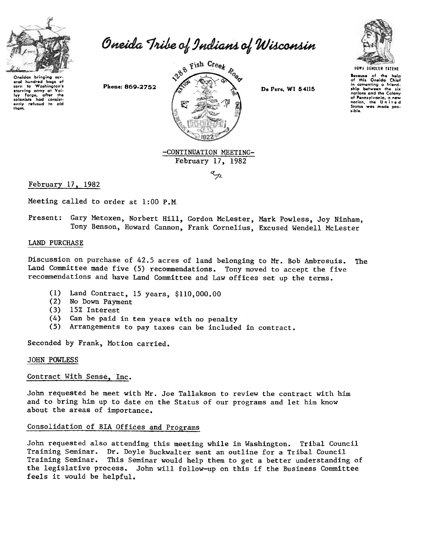

eral hundred bags of<br>corn to Washington's starving army at Val-<br>ley Forge, after the<br>colonists had consist-<br>ently refused to aid

thom.

Oneida Tribe of Indians of Wisconsin



February 17, 1982

 $\epsilon_{_{\mathcal{H}}}$ 



IocaUie of tho help of thll Oneida Chlof in comenting a friendship between the six<br>nations and the Colony<br>of Pennsylvania, a new<br>nation, the United Statel wa, made POIlible.

# February 17. 1982

Meeting called to order at 1:00 P.M.

Present: Gary Metoxen, Norbert Hill, Gordon McLester, Mark Powless, Joy Ninham, Tony Benson, Howard Cannon, Frank Cornelius, Excused Wendell McLester

#### LAND PURCHASE

Discussion on purchase of 42.5 acres of land belonging to Mr. Bob Ambrosuis. The Land Committee made five (5) recommendations. Tony moved to accept the five recommendations and have Land Committee and Law offices set up the terms.

- (1) Land Contract, 15 years, \$110,000.00
- (2) No Down Payment
- (3) 15% Interest
- (4) Can be paid in ten years with no penalty
- (5) Arrangements to pay taxes can be included in contract.

Seconded by Frank, Motion carried.

#### JOHN POWLESS

### Contract With Sense, Inc.

John requested he meet with Mr. Joe Tallakson to review the contract with him and to bring him up to date on the Status of our programs and let him know about the areas of importance.

## Consolidation of BrA Offices and Programs

John requested also attending this meeting while in Washington. Tribal Council Training Seminar. Dr. Doyle Buckwalter sent an outline for a Tribal Council Training Seminar. This Seminar would help them to get a better understanding of the legislative process. John will follow-up on this if the Business Committee feels it would be helpful.